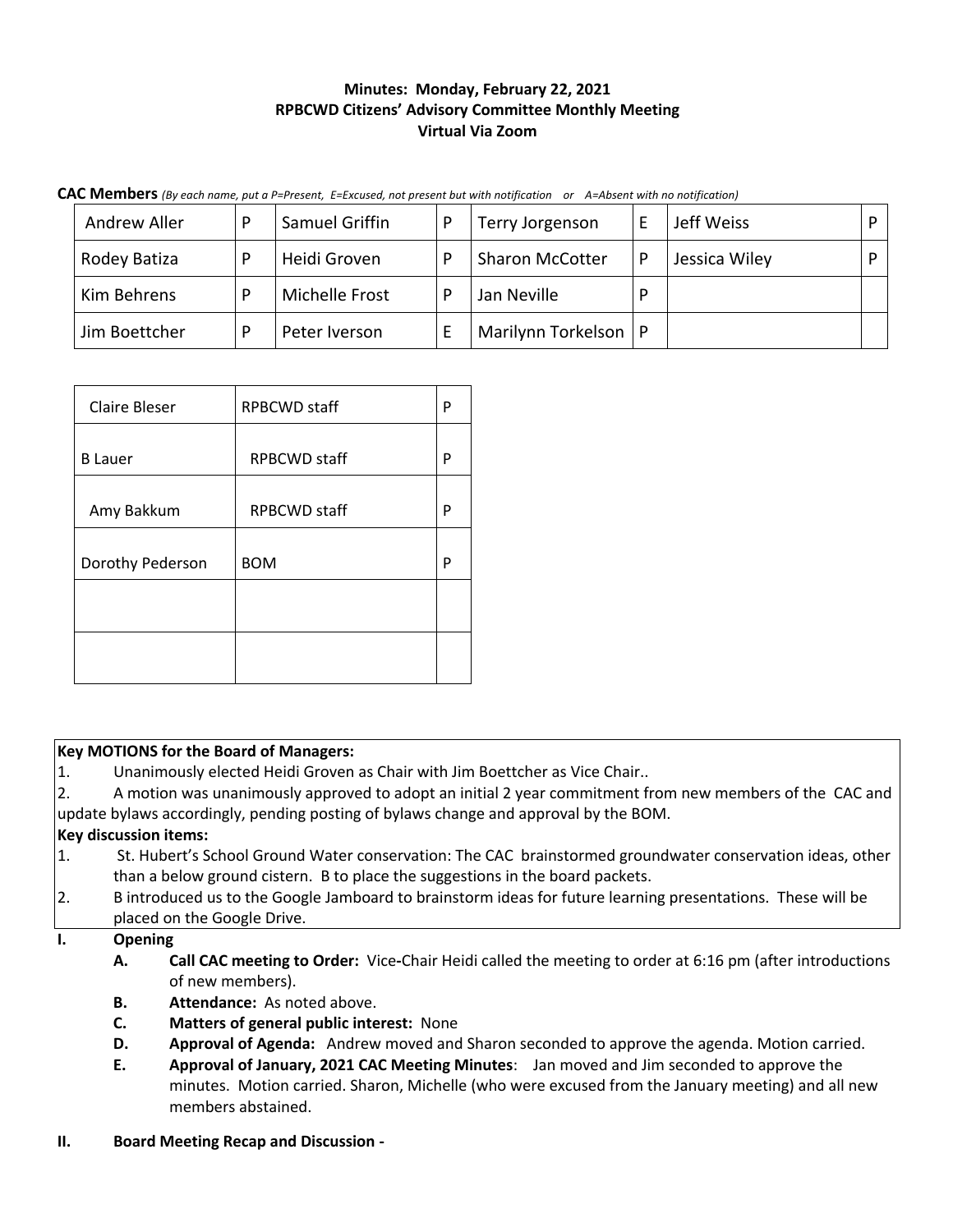# **Minutes: Monday, February 22, 2021 RPBCWD Citizens' Advisory Committee Monthly Meeting Virtual Via Zoom**

| CAC Members (By each name, put a P=Present, E=Excused, not present but with notification or A=Absent with no notification) |  |  |  |
|----------------------------------------------------------------------------------------------------------------------------|--|--|--|
|----------------------------------------------------------------------------------------------------------------------------|--|--|--|

| Andrew Aller  | D | Samuel Griffin | D | Terry Jorgenson        |   | Jeff Weiss    |  |
|---------------|---|----------------|---|------------------------|---|---------------|--|
| Rodey Batiza  | D | Heidi Groven   |   | <b>Sharon McCotter</b> | D | Jessica Wiley |  |
| Kim Behrens   |   | Michelle Frost |   | Jan Neville            |   |               |  |
| Jim Boettcher |   | Peter Iverson  |   | Marilynn Torkelson     |   |               |  |

| Claire Bleser    | <b>RPBCWD staff</b> | P |
|------------------|---------------------|---|
| <b>B</b> Lauer   | <b>RPBCWD</b> staff | P |
| Amy Bakkum       | <b>RPBCWD</b> staff | P |
| Dorothy Pederson | <b>BOM</b>          | P |
|                  |                     |   |
|                  |                     |   |

|                  | <b>Key MOTIONS for the Board of Managers:</b>                                                                                                                                                       |  |  |  |  |
|------------------|-----------------------------------------------------------------------------------------------------------------------------------------------------------------------------------------------------|--|--|--|--|
| $\mathbf{1}$ .   | Unanimously elected Heidi Groven as Chair with Jim Boettcher as Vice Chair                                                                                                                          |  |  |  |  |
| 2.               | A motion was unanimously approved to adopt an initial 2 year commitment from new members of the CAC and                                                                                             |  |  |  |  |
|                  | update bylaws accordingly, pending posting of bylaws change and approval by the BOM.                                                                                                                |  |  |  |  |
|                  | <b>Key discussion items:</b>                                                                                                                                                                        |  |  |  |  |
| $\mathbf{1}$ .   | St. Hubert's School Ground Water conservation: The CAC brainstormed groundwater conservation ideas, other                                                                                           |  |  |  |  |
|                  | than a below ground cistern. B to place the suggestions in the board packets.                                                                                                                       |  |  |  |  |
| $\overline{2}$ . | B introduced us to the Google Jamboard to brainstorm ideas for future learning presentations. These will be                                                                                         |  |  |  |  |
|                  | placed on the Google Drive.                                                                                                                                                                         |  |  |  |  |
| Ι.               | <b>Opening</b>                                                                                                                                                                                      |  |  |  |  |
|                  | Call CAC meeting to Order: Vice-Chair Heidi called the meeting to order at 6:16 pm (after introductions<br>А.                                                                                       |  |  |  |  |
|                  | of new members).                                                                                                                                                                                    |  |  |  |  |
|                  | Attendance: As noted above.<br>В.                                                                                                                                                                   |  |  |  |  |
|                  | C.<br><b>Matters of general public interest: None</b>                                                                                                                                               |  |  |  |  |
|                  | Approval of Agenda: Andrew moved and Sharon seconded to approve the agenda. Motion carried.<br>D.                                                                                                   |  |  |  |  |
|                  | Approval of January, 2021 CAC Meeting Minutes: Jan moved and Jim seconded to approve the<br>Ε.<br>minutes. Motion carried. Sharon, Michelle (who were excused from the January meeting) and all new |  |  |  |  |
|                  | members abstained.                                                                                                                                                                                  |  |  |  |  |

# **II. Board Meeting Recap and Discussion -**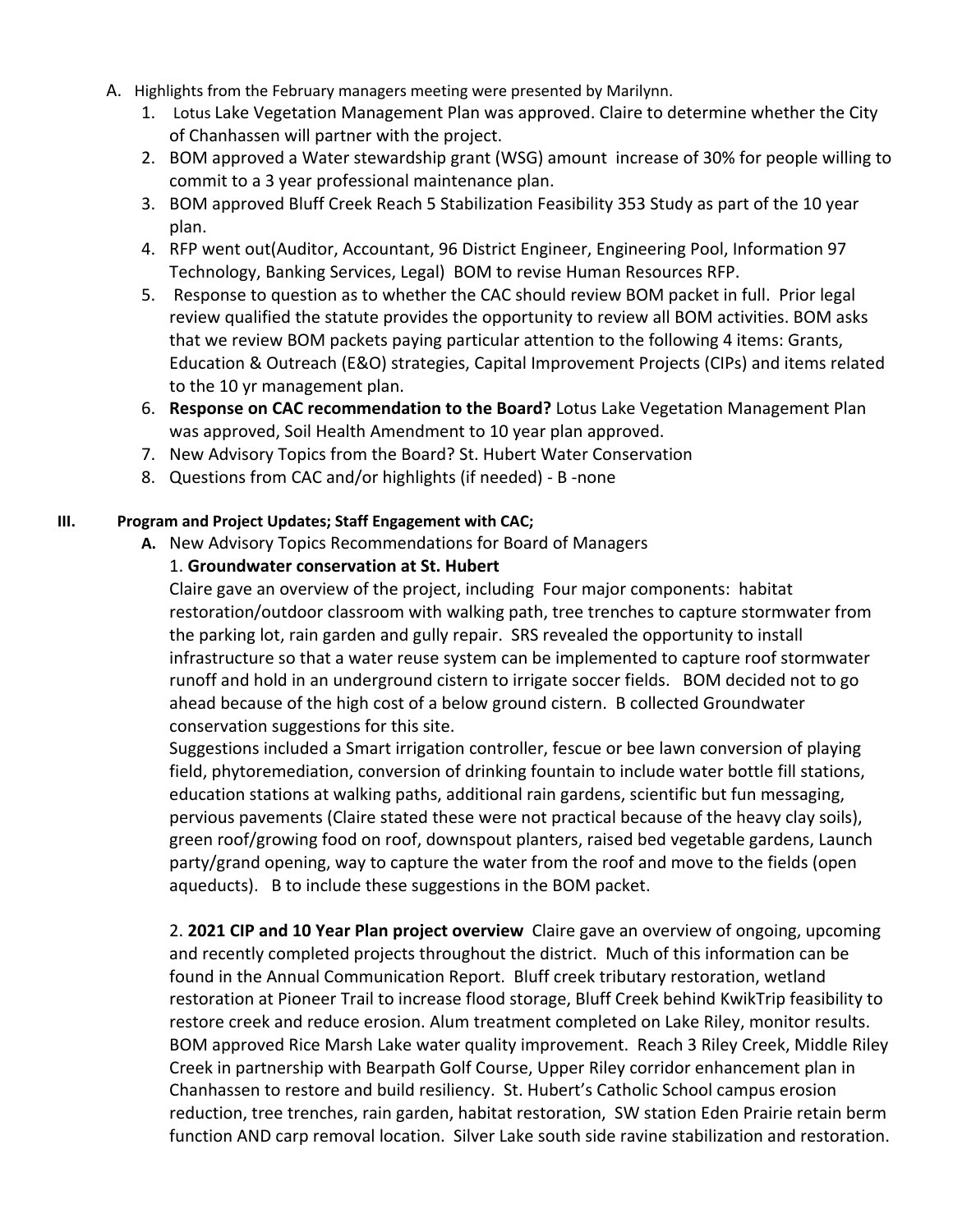- A. Highlights from the February managers meeting were presented by Marilynn.
	- 1. Lotus Lake Vegetation Management Plan was approved. Claire to determine whether the City of Chanhassen will partner with the project.
	- 2. BOM approved a Water stewardship grant (WSG) amount increase of 30% for people willing to commit to a 3 year professional maintenance plan.
	- 3. BOM approved Bluff Creek Reach 5 Stabilization Feasibility 353 Study as part of the 10 year plan.
	- 4. RFP went out(Auditor, Accountant, 96 District Engineer, Engineering Pool, Information 97 Technology, Banking Services, Legal) BOM to revise Human Resources RFP.
	- 5. Response to question as to whether the CAC should review BOM packet in full. Prior legal review qualified the statute provides the opportunity to review all BOM activities. BOM asks that we review BOM packets paying particular attention to the following 4 items: Grants, Education & Outreach (E&O) strategies, Capital Improvement Projects (CIPs) and items related to the 10 yr management plan.
	- 6. **Response on CAC recommendation to the Board?** Lotus Lake Vegetation Management Plan was approved, Soil Health Amendment to 10 year plan approved.
	- 7. New Advisory Topics from the Board? St. Hubert Water Conservation
	- 8. Questions from CAC and/or highlights (if needed) B -none

#### **III. Program and Project Updates; Staff Engagement with CAC;**

**A.** New Advisory Topics Recommendations for Board of Managers

#### 1. **Groundwater conservation at St. Hubert**

Claire gave an overview of the project, including Four major components: habitat restoration/outdoor classroom with walking path, tree trenches to capture stormwater from the parking lot, rain garden and gully repair. SRS revealed the opportunity to install infrastructure so that a water reuse system can be implemented to capture roof stormwater runoff and hold in an underground cistern to irrigate soccer fields. BOM decided not to go ahead because of the high cost of a below ground cistern. B collected Groundwater conservation suggestions for this site.

Suggestions included a Smart irrigation controller, fescue or bee lawn conversion of playing field, phytoremediation, conversion of drinking fountain to include water bottle fill stations, education stations at walking paths, additional rain gardens, scientific but fun messaging, pervious pavements (Claire stated these were not practical because of the heavy clay soils), green roof/growing food on roof, downspout planters, raised bed vegetable gardens, Launch party/grand opening, way to capture the water from the roof and move to the fields (open aqueducts). B to include these suggestions in the BOM packet.

2. **2021 CIP and 10 Year Plan project overview** Claire gave an overview of ongoing, upcoming and recently completed projects throughout the district. Much of this information can be found in the Annual Communication Report. Bluff creek tributary restoration, wetland restoration at Pioneer Trail to increase flood storage, Bluff Creek behind KwikTrip feasibility to restore creek and reduce erosion. Alum treatment completed on Lake Riley, monitor results. BOM approved Rice Marsh Lake water quality improvement. Reach 3 Riley Creek, Middle Riley Creek in partnership with Bearpath Golf Course, Upper Riley corridor enhancement plan in Chanhassen to restore and build resiliency. St. Hubert's Catholic School campus erosion reduction, tree trenches, rain garden, habitat restoration, SW station Eden Prairie retain berm function AND carp removal location. Silver Lake south side ravine stabilization and restoration.